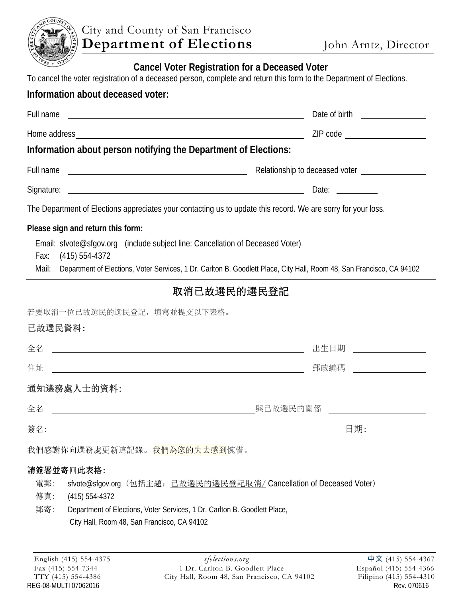

## **Cancel Voter Registration for a Deceased Voter**

To cancel the voter registration of a deceased person, complete and return this form to the Department of Elections.

## **Information about deceased voter:**

| Full name         |                                                                                                                                                                                                                                                                    | Date of birth the state of birth the state of $\mathbf{r}$                                                            |
|-------------------|--------------------------------------------------------------------------------------------------------------------------------------------------------------------------------------------------------------------------------------------------------------------|-----------------------------------------------------------------------------------------------------------------------|
|                   |                                                                                                                                                                                                                                                                    |                                                                                                                       |
|                   | Information about person notifying the Department of Elections:                                                                                                                                                                                                    |                                                                                                                       |
| Full name         | <u> 1989 - Johann Barbara, martin amerikan basar da</u>                                                                                                                                                                                                            | Relationship to deceased voter ________________                                                                       |
| Signature:        | <u> 1989 - Johann Barn, fransk politik formuler (d. 1989)</u>                                                                                                                                                                                                      | Date: $\frac{1}{\sqrt{1-\frac{1}{2}}\sqrt{1-\frac{1}{2}}\sqrt{1-\frac{1}{2}}\sqrt{1-\frac{1}{2}}\sqrt{1-\frac{1}{2}}$ |
|                   | The Department of Elections appreciates your contacting us to update this record. We are sorry for your loss.                                                                                                                                                      |                                                                                                                       |
| Fax:<br>Mail:     | Please sign and return this form:<br>Email: sfvote@sfgov.org (include subject line: Cancellation of Deceased Voter)<br>$(415) 554 - 4372$<br>Department of Elections, Voter Services, 1 Dr. Carlton B. Goodlett Place, City Hall, Room 48, San Francisco, CA 94102 |                                                                                                                       |
|                   | 取消已故選民的選民登記                                                                                                                                                                                                                                                        |                                                                                                                       |
| 已故選民資料:           | 若要取消一位已故選民的選民登記,填寫並提交以下表格。                                                                                                                                                                                                                                         |                                                                                                                       |
| 全名                |                                                                                                                                                                                                                                                                    | 出生日期                                                                                                                  |
| 住址                | <u> 1980 - Jan James Barnett, fransk politik (d. 1980)</u>                                                                                                                                                                                                         | 郵政編碼                                                                                                                  |
|                   | 通知選務處人士的資料:                                                                                                                                                                                                                                                        |                                                                                                                       |
| 全名                |                                                                                                                                                                                                                                                                    |                                                                                                                       |
| 簽名:               |                                                                                                                                                                                                                                                                    | 日期:                                                                                                                   |
|                   | 我們感謝你向選務處更新這記錄。我們為您的失去感到惋惜。                                                                                                                                                                                                                                        |                                                                                                                       |
| 電郵:<br>傳真:<br>郵寄: | 請簽署並寄回此表格:<br>sfvote@sfgov.org (包括主題: 已故選民的選民登記取消/ Cancellation of Deceased Voter)<br>$(415) 554-4372$<br>Department of Elections, Voter Services, 1 Dr. Carlton B. Goodlett Place,<br>City Hall, Room 48, San Francisco, CA 94102                                 |                                                                                                                       |